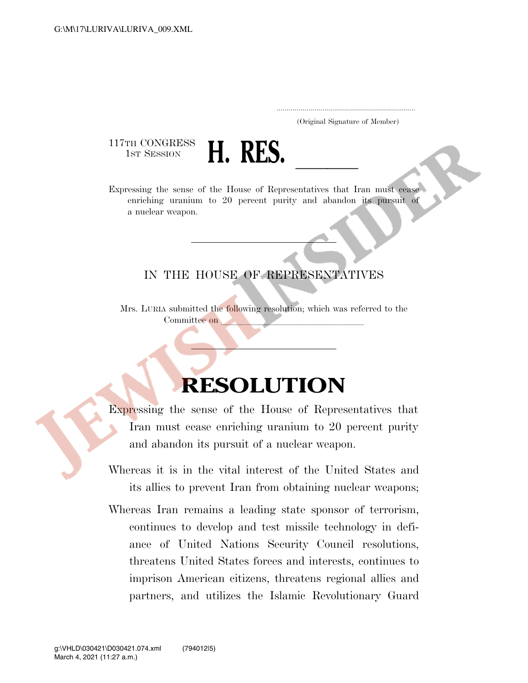## ..................................................................... (Original Signature of Member)

117TH CONGRESS



Expressing the sense of the House of Representatives that Iran must cease enriching uranium to 20 percent purity and abandon its pursuit of a nuclear weapon.

## IN THE HOUSE OF REPRESENTATIVES

Mrs. LURIA submitted the following resolution; which was referred to the Committee on

## **RESOLUTION**

Expressing the sense of the House of Representatives that Iran must cease enriching uranium to 20 percent purity and abandon its pursuit of a nuclear weapon.

- Whereas it is in the vital interest of the United States and its allies to prevent Iran from obtaining nuclear weapons;
- Whereas Iran remains a leading state sponsor of terrorism, continues to develop and test missile technology in defiance of United Nations Security Council resolutions, threatens United States forces and interests, continues to imprison American citizens, threatens regional allies and partners, and utilizes the Islamic Revolutionary Guard